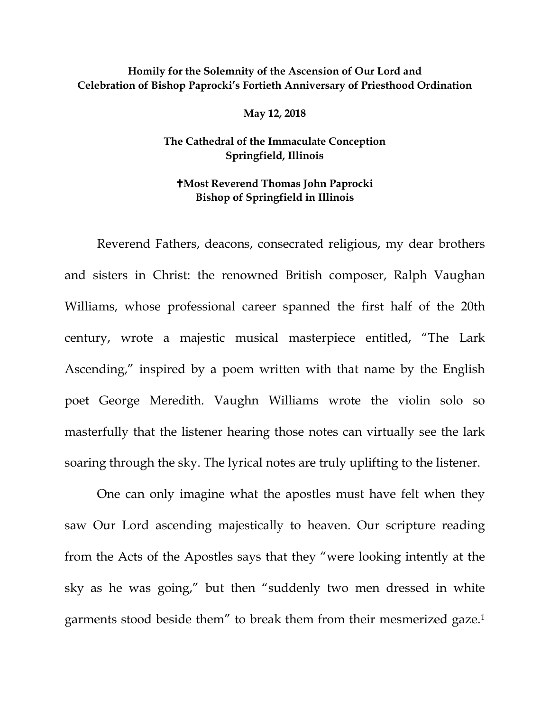## **Homily for the Solemnity of the Ascension of Our Lord and Celebration of Bishop Paprocki's Fortieth Anniversary of Priesthood Ordination**

**May 12, 2018**

## **The Cathedral of the Immaculate Conception Springfield, Illinois**

## **Most Reverend Thomas John Paprocki Bishop of Springfield in Illinois**

Reverend Fathers, deacons, consecrated religious, my dear brothers and sisters in Christ: the renowned British composer, Ralph Vaughan Williams, whose professional career spanned the first half of the 20th century, wrote a majestic musical masterpiece entitled, "The Lark Ascending," inspired by a poem written with that name by the English poet George Meredith. Vaughn Williams wrote the violin solo so masterfully that the listener hearing those notes can virtually see the lark soaring through the sky. The lyrical notes are truly uplifting to the listener.

One can only imagine what the apostles must have felt when they saw Our Lord ascending majestically to heaven. Our scripture reading from the Acts of the Apostles says that they "were looking intently at the sky as he was going," but then "suddenly two men dressed in white garments stood beside them" to break them from their mesmerized gaze[.1](#page-4-0)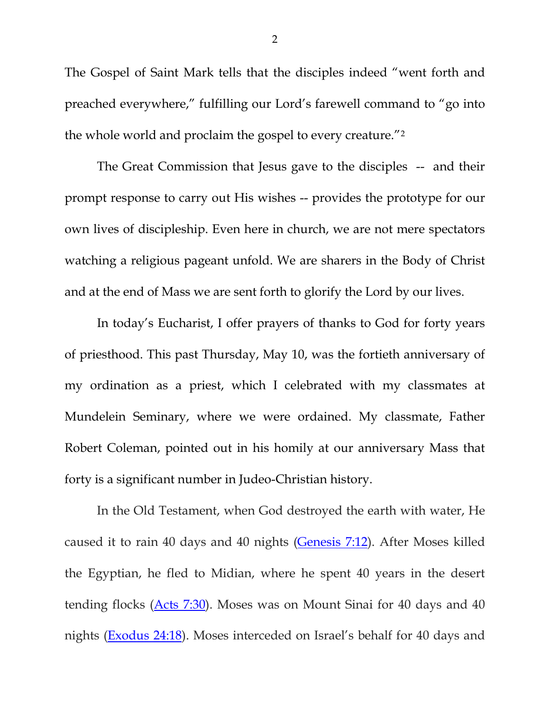The Gospel of Saint Mark tells that the disciples indeed "went forth and preached everywhere," fulfilling our Lord's farewell command to "go into the whole world and proclaim the gospel to every creature."[2](#page-4-1)

The Great Commission that Jesus gave to the disciples -- and their prompt response to carry out His wishes -- provides the prototype for our own lives of discipleship. Even here in church, we are not mere spectators watching a religious pageant unfold. We are sharers in the Body of Christ and at the end of Mass we are sent forth to glorify the Lord by our lives.

In today's Eucharist, I offer prayers of thanks to God for forty years of priesthood. This past Thursday, May 10, was the fortieth anniversary of my ordination as a priest, which I celebrated with my classmates at Mundelein Seminary, where we were ordained. My classmate, Father Robert Coleman, pointed out in his homily at our anniversary Mass that forty is a significant number in Judeo-Christian history.

In the Old Testament, when God destroyed the earth with water, He caused it to rain 40 days and 40 nights [\(Genesis 7:12\)](https://biblia.com/bible/esv/Gen%207.12). After Moses killed the Egyptian, he fled to Midian, where he spent 40 years in the desert tending flocks [\(Acts 7:30\)](https://biblia.com/bible/esv/Acts%207.30). Moses was on Mount Sinai for 40 days and 40 nights [\(Exodus 24:18\)](https://biblia.com/bible/esv/Exod%2024.18). Moses interceded on Israel's behalf for 40 days and

2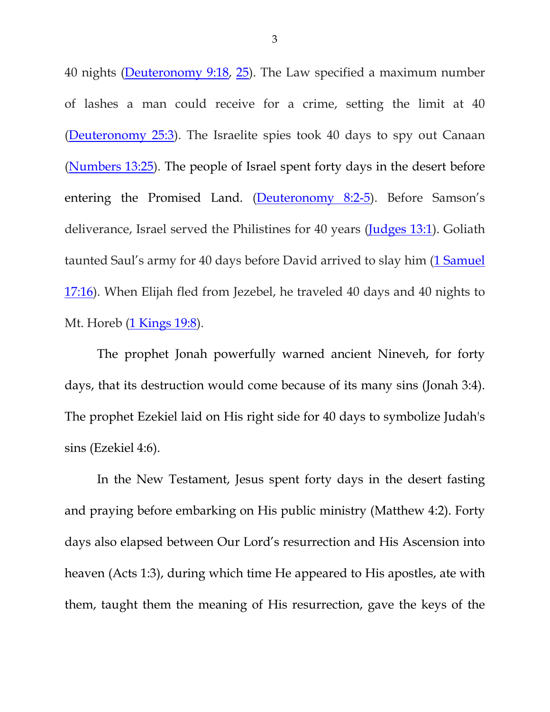40 nights [\(Deuteronomy 9:18,](https://biblia.com/bible/esv/Deut%209.18) [25\)](https://biblia.com/bible/esv/Deuteronomy%209.25). The Law specified a maximum number of lashes a man could receive for a crime, setting the limit at 40 [\(Deuteronomy 25:3\)](https://biblia.com/bible/esv/Deut%2025.3). The Israelite spies took 40 days to spy out Canaan [\(Numbers 13:25\)](https://biblia.com/bible/esv/Num%2013.25). The people of Israel spent forty days in the desert before entering the Promised Land. [\(Deuteronomy 8:2-5\)](https://biblia.com/bible/esv/Deut%208.2-5). Before Samson's deliverance, Israel served the Philistines for 40 years [\(Judges 13:1\)](https://biblia.com/bible/esv/Judg%2013.1). Goliath taunted Saul's army for 40 days before David arrived to slay him (1 Samuel [17:16\)](https://biblia.com/bible/esv/1%20Sam%2017.16). When Elijah fled from Jezebel, he traveled 40 days and 40 nights to Mt. Horeb [\(1 Kings 19:8\)](https://biblia.com/bible/esv/1%20Kings%2019.8).

The prophet Jonah powerfully warned ancient Nineveh, for forty days, that its destruction would come because of its many sins (Jonah 3:4). The prophet Ezekiel laid on His right side for 40 days to symbolize Judah's sins (Ezekiel 4:6).

In the New Testament, Jesus spent forty days in the desert fasting and praying before embarking on His public ministry (Matthew 4:2). Forty days also elapsed between Our Lord's resurrection and His Ascension into heaven (Acts 1:3), during which time He appeared to His apostles, ate with them, taught them the meaning of His resurrection, gave the keys of the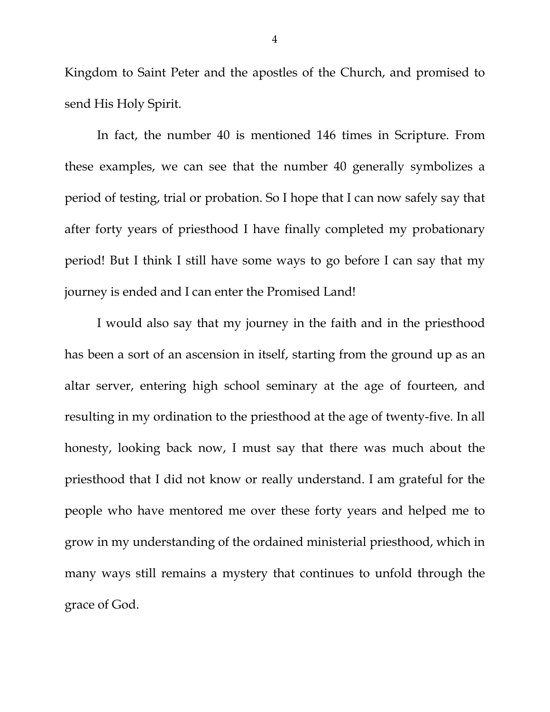Kingdom to Saint Peter and the apostles of the Church, and promised to send His Holy Spirit.

In fact, the number 40 is mentioned 146 times in Scripture. From these examples, we can see that the number 40 generally symbolizes a period of testing, trial or probation. So I hope that I can now safely say that after forty years of priesthood I have finally completed my probationary period! But I think I still have some ways to go before I can say that my journey is ended and I can enter the Promised Land!

I would also say that my journey in the faith and in the priesthood has been a sort of an ascension in itself, starting from the ground up as an altar server, entering high school seminary at the age of fourteen, and resulting in my ordination to the priesthood at the age of twenty-five. In all honesty, looking back now, I must say that there was much about the priesthood that I did not know or really understand. I am grateful for the people who have mentored me over these forty years and helped me to grow in my understanding of the ordained ministerial priesthood, which in many ways still remains a mystery that continues to unfold through the grace of God.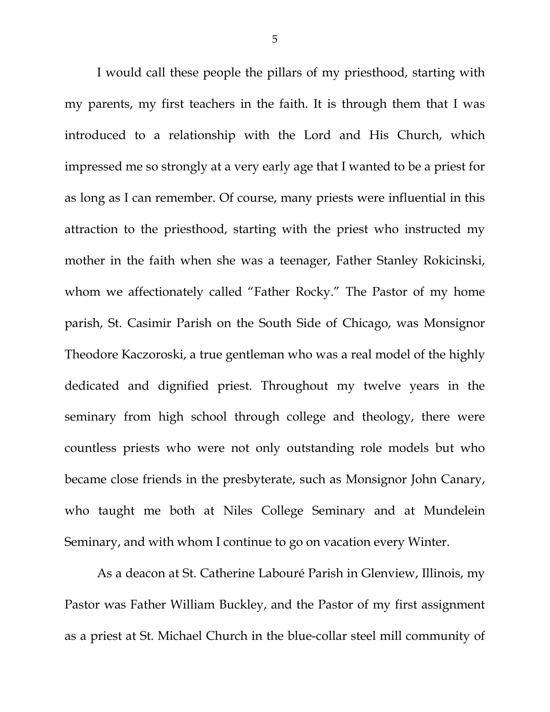I would call these people the pillars of my priesthood, starting with my parents, my first teachers in the faith. It is through them that I was introduced to a relationship with the Lord and His Church, which impressed me so strongly at a very early age that I wanted to be a priest for as long as I can remember. Of course, many priests were influential in this attraction to the priesthood, starting with the priest who instructed my mother in the faith when she was a teenager, Father Stanley Rokicinski, whom we affectionately called "Father Rocky." The Pastor of my home parish, St. Casimir Parish on the South Side of Chicago, was Monsignor Theodore Kaczoroski, a true gentleman who was a real model of the highly dedicated and dignified priest. Throughout my twelve years in the seminary from high school through college and theology, there were countless priests who were not only outstanding role models but who became close friends in the presbyterate, such as Monsignor John Canary, who taught me both at Niles College Seminary and at Mundelein Seminary, and with whom I continue to go on vacation every Winter.

<span id="page-4-1"></span><span id="page-4-0"></span>As a deacon at St. Catherine Labouré Parish in Glenview, Illinois, my Pastor was Father William Buckley, and the Pastor of my first assignment as a priest at St. Michael Church in the blue-collar steel mill community of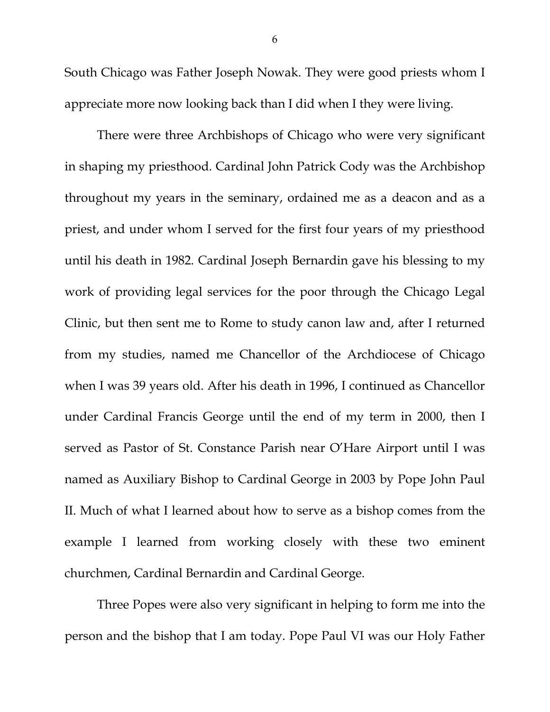South Chicago was Father Joseph Nowak. They were good priests whom I appreciate more now looking back than I did when I they were living.

There were three Archbishops of Chicago who were very significant in shaping my priesthood. Cardinal John Patrick Cody was the Archbishop throughout my years in the seminary, ordained me as a deacon and as a priest, and under whom I served for the first four years of my priesthood until his death in 1982. Cardinal Joseph Bernardin gave his blessing to my work of providing legal services for the poor through the Chicago Legal Clinic, but then sent me to Rome to study canon law and, after I returned from my studies, named me Chancellor of the Archdiocese of Chicago when I was 39 years old. After his death in 1996, I continued as Chancellor under Cardinal Francis George until the end of my term in 2000, then I served as Pastor of St. Constance Parish near O'Hare Airport until I was named as Auxiliary Bishop to Cardinal George in 2003 by Pope John Paul II. Much of what I learned about how to serve as a bishop comes from the example I learned from working closely with these two eminent churchmen, Cardinal Bernardin and Cardinal George.

Three Popes were also very significant in helping to form me into the person and the bishop that I am today. Pope Paul VI was our Holy Father

6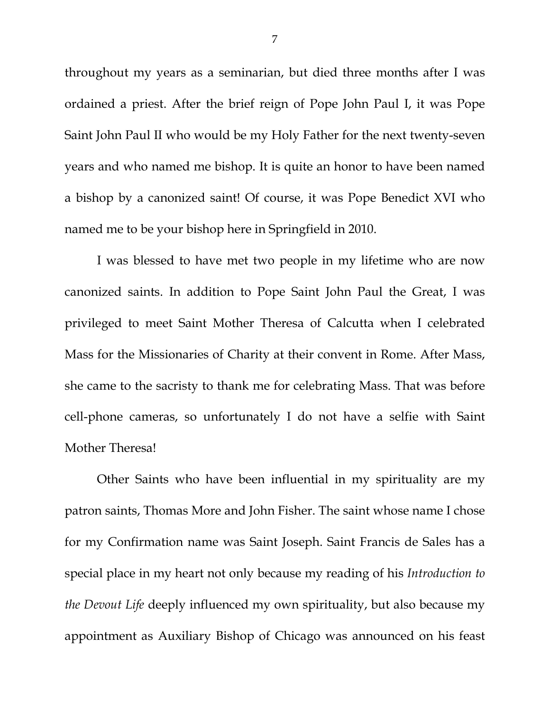throughout my years as a seminarian, but died three months after I was ordained a priest. After the brief reign of Pope John Paul I, it was Pope Saint John Paul II who would be my Holy Father for the next twenty-seven years and who named me bishop. It is quite an honor to have been named a bishop by a canonized saint! Of course, it was Pope Benedict XVI who named me to be your bishop here in Springfield in 2010.

I was blessed to have met two people in my lifetime who are now canonized saints. In addition to Pope Saint John Paul the Great, I was privileged to meet Saint Mother Theresa of Calcutta when I celebrated Mass for the Missionaries of Charity at their convent in Rome. After Mass, she came to the sacristy to thank me for celebrating Mass. That was before cell-phone cameras, so unfortunately I do not have a selfie with Saint Mother Theresa!

Other Saints who have been influential in my spirituality are my patron saints, Thomas More and John Fisher. The saint whose name I chose for my Confirmation name was Saint Joseph. Saint Francis de Sales has a special place in my heart not only because my reading of his *Introduction to the Devout Life* deeply influenced my own spirituality, but also because my appointment as Auxiliary Bishop of Chicago was announced on his feast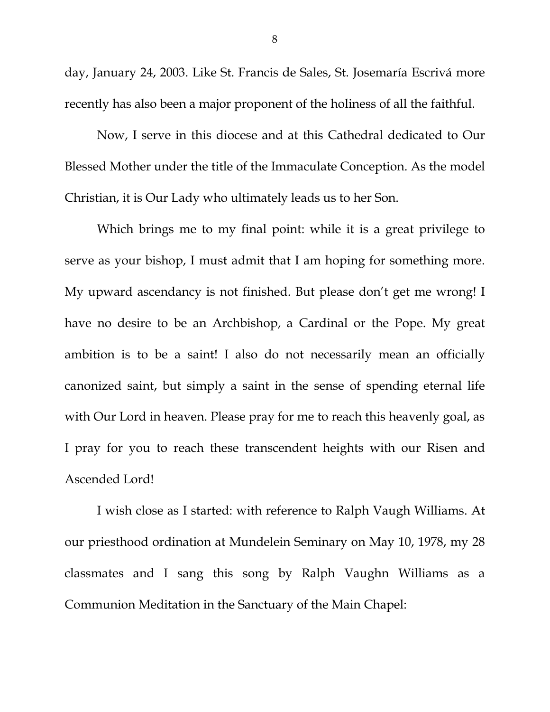day, January 24, 2003. Like St. Francis de Sales, St. Josemaría Escrivá more recently has also been a major proponent of the holiness of all the faithful.

Now, I serve in this diocese and at this Cathedral dedicated to Our Blessed Mother under the title of the Immaculate Conception. As the model Christian, it is Our Lady who ultimately leads us to her Son.

Which brings me to my final point: while it is a great privilege to serve as your bishop, I must admit that I am hoping for something more. My upward ascendancy is not finished. But please don't get me wrong! I have no desire to be an Archbishop, a Cardinal or the Pope. My great ambition is to be a saint! I also do not necessarily mean an officially canonized saint, but simply a saint in the sense of spending eternal life with Our Lord in heaven. Please pray for me to reach this heavenly goal, as I pray for you to reach these transcendent heights with our Risen and Ascended Lord!

I wish close as I started: with reference to Ralph Vaugh Williams. At our priesthood ordination at Mundelein Seminary on May 10, 1978, my 28 classmates and I sang this song by Ralph Vaughn Williams as a Communion Meditation in the Sanctuary of the Main Chapel:

8